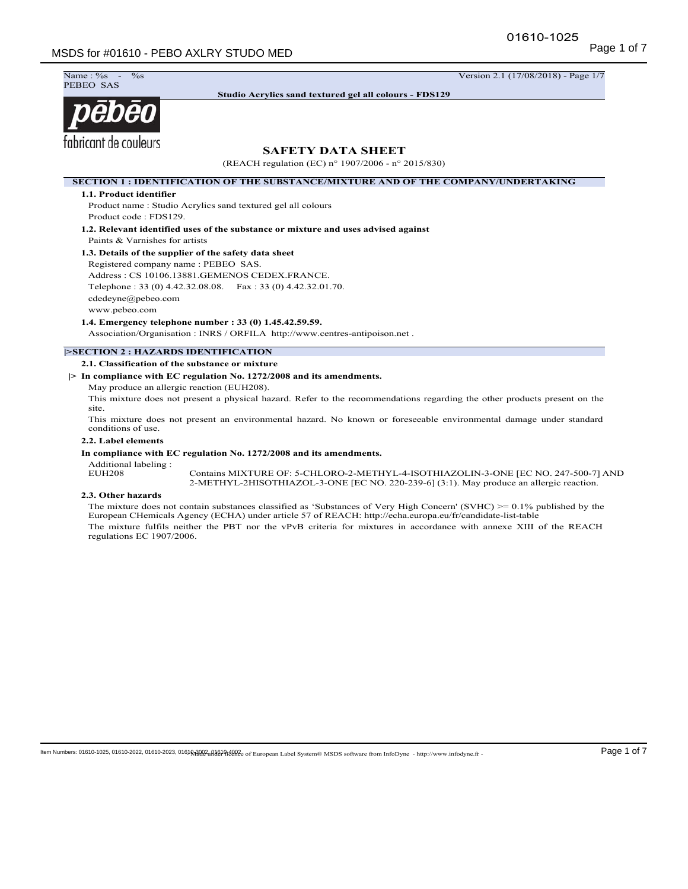$\%$ s -  $\frac{1}{7}$  Version 2.1 (17/08/2018) - Page 1/7 Name: %<br>PEBEO SAS

**Studio Acrylics sand textured gel all colours - FDS129**

# pēbēo fabricant de couleurs

# **SAFETY DATA SHEET**

(REACH regulation (EC) n° 1907/2006 - n° 2015/830)

**SECTION 1 : IDENTIFICATION OF THE SUBSTANCE/MIXTURE AND OF THE COMPANY/UNDERTAKING**

## **1.1. Product identifier**

Product name : Studio Acrylics sand textured gel all colours Product code : FDS129.

**1.2. Relevant identified uses of the substance or mixture and uses advised against** Paints & Varnishes for artists

## **1.3. Details of the supplier of the safety data sheet**

Registered company name : PEBEO SAS. Address : CS 10106.13881.GEMENOS CEDEX.FRANCE. Telephone : 33 (0) 4.42.32.08.08. Fax : 33 (0) 4.42.32.01.70. cdedeyne@pebeo.com www.pebeo.com

**1.4. Emergency telephone number : 33 (0) 1.45.42.59.59.**

Association/Organisation : INRS / ORFILA http://www.centres-antipoison.net .

## **|>SECTION 2 : HAZARDS IDENTIFICATION**

**2.1. Classification of the substance or mixture**

**|> In compliance with EC regulation No. 1272/2008 and its amendments.**

May produce an allergic reaction (EUH208).

This mixture does not present a physical hazard. Refer to the recommendations regarding the other products present on the site.

This mixture does not present an environmental hazard. No known or foreseeable environmental damage under standard conditions of use.

## **2.2. Label elements**

## **In compliance with EC regulation No. 1272/2008 and its amendments.**

Additional labeling :

Contains MIXTURE OF: 5-CHLORO-2-METHYL-4-ISOTHIAZOLIN-3-ONE [EC NO. 247-500-7] AND 2-METHYL-2HISOTHIAZOL-3-ONE [EC NO. 220-239-6] (3:1). May produce an allergic reaction.

## **2.3. Other hazards**

The mixture does not contain substances classified as 'Substances of Very High Concern' (SVHC) >= 0.1% published by the European CHemicals Agency (ECHA) under article 57 of REACH: http://echa.europa.eu/fr/candidate-list-table The mixture fulfils neither the PBT nor the vPvB criteria for mixtures in accordance with annexe XIII of the REACH regulations EC 1907/2006.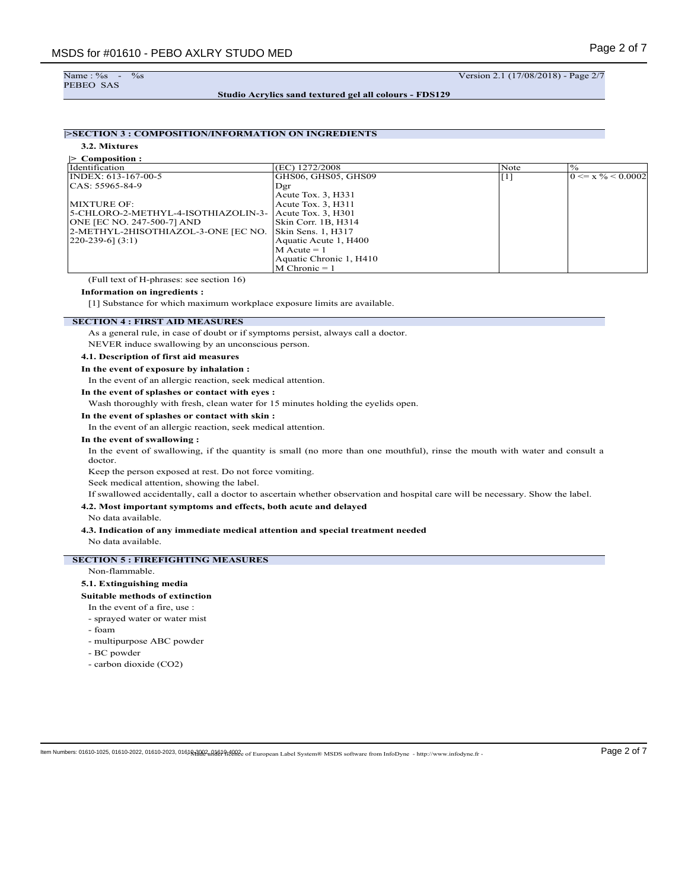Name : %s<br>PEBEO SAS

 $\frac{\%}{\%}$  -  $\frac{\%}{\%}$  -  $\frac{1}{17/08/2018}$  - Page 2/7

**Studio Acrylics sand textured gel all colours - FDS129**

# **|>SECTION 3 : COMPOSITION/INFORMATION ON INGREDIENTS**

**3.2. Mixtures |> Composition :**

| Identification                      | (EC) 1272/2008          | Note                | $\frac{0}{0}$                  |
|-------------------------------------|-------------------------|---------------------|--------------------------------|
| $INDEX: 613-167-00-5$               | GHS06, GHS05, GHS09     | $\lfloor 1 \rfloor$ | $0 \le x \frac{9}{6} < 0.0002$ |
| CAS: 55965-84-9                     | Dgr                     |                     |                                |
|                                     | Acute Tox. 3, H331      |                     |                                |
| MIXTURE OF:                         | Acute Tox. 3, H311      |                     |                                |
| 5-CHLORO-2-METHYL-4-ISOTHIAZOLIN-3- | Acute Tox. 3, H301      |                     |                                |
| ONE JEC NO. 247-500-71 AND          | Skin Corr. 1B, H314     |                     |                                |
| 2-METHYL-2HISOTHIAZOL-3-ONE [EC NO. | Skin Sens. 1, H317      |                     |                                |
| $[220-239-6]$ (3:1)                 | Aquatic Acute 1, H400   |                     |                                |
|                                     | $M$ Acute = 1           |                     |                                |
|                                     | Aquatic Chronic 1, H410 |                     |                                |
|                                     | $M$ Chronic = 1         |                     |                                |

(Full text of H-phrases: see section 16)

#### **Information on ingredients :**

[1] Substance for which maximum workplace exposure limits are available.

# **SECTION 4 : FIRST AID MEASURES**

As a general rule, in case of doubt or if symptoms persist, always call a doctor.

NEVER induce swallowing by an unconscious person.

## **4.1. Description of first aid measures**

## **In the event of exposure by inhalation :**

In the event of an allergic reaction, seek medical attention.

**In the event of splashes or contact with eyes :**

Wash thoroughly with fresh, clean water for 15 minutes holding the eyelids open.

## **In the event of splashes or contact with skin :**

In the event of an allergic reaction, seek medical attention.

### **In the event of swallowing :**

In the event of swallowing, if the quantity is small (no more than one mouthful), rinse the mouth with water and consult a doctor.

Keep the person exposed at rest. Do not force vomiting.

Seek medical attention, showing the label.

If swallowed accidentally, call a doctor to ascertain whether observation and hospital care will be necessary. Show the label.

## **4.2. Most important symptoms and effects, both acute and delayed**

No data available.

### **4.3. Indication of any immediate medical attention and special treatment needed**

No data available.

## **SECTION 5 : FIREFIGHTING MEASURES**

Non-flammable.

#### **5.1. Extinguishing media**

**Suitable methods of extinction**

#### In the event of a fire, use :

- sprayed water or water mist
- foam
- multipurpose ABC powder
- BC powder
- carbon dioxide (CO2)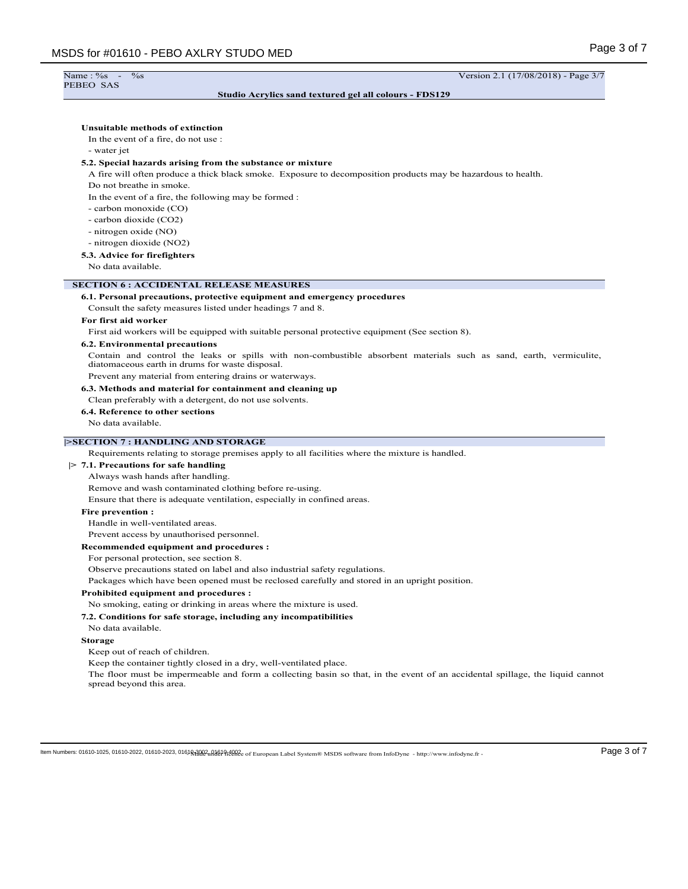# Name : %<br>PEBEO SAS

Name : %s - %s Version 2.1 (17/08/2018) - Page 3/7

# **Studio Acrylics sand textured gel all colours - FDS129**

| <b>Unsuitable methods of extinction</b><br>In the event of a fire, do not use :<br>- water jet<br>5.2. Special hazards arising from the substance or mixture<br>A fire will often produce a thick black smoke. Exposure to decomposition products may be hazardous to health.<br>Do not breathe in smoke.<br>In the event of a fire, the following may be formed :<br>- carbon monoxide (CO)<br>- carbon dioxide (CO2)<br>- nitrogen oxide (NO)<br>- nitrogen dioxide (NO2)<br>5.3. Advice for firefighters<br>No data available.<br><b>SECTION 6: ACCIDENTAL RELEASE MEASURES</b><br>6.1. Personal precautions, protective equipment and emergency procedures<br>Consult the safety measures listed under headings 7 and 8.<br>For first aid worker<br>First aid workers will be equipped with suitable personal protective equipment (See section 8).<br><b>6.2. Environmental precautions</b><br>Contain and control the leaks or spills with non-combustible absorbent materials such as sand, earth, vermiculite,<br>diatomaceous earth in drums for waste disposal.<br>Prevent any material from entering drains or waterways.<br>6.3. Methods and material for containment and cleaning up<br>Clean preferably with a detergent, do not use solvents.<br>6.4. Reference to other sections<br>No data available.<br><b>&gt;SECTION 7 : HANDLING AND STORAGE</b><br>Requirements relating to storage premises apply to all facilities where the mixture is handled.<br>$\geq 7.1$ . Precautions for safe handling<br>Always wash hands after handling.<br>Remove and wash contaminated clothing before re-using.<br>Ensure that there is adequate ventilation, especially in confined areas.<br><b>Fire prevention:</b><br>Handle in well-ventilated areas.<br>Prevent access by unauthorised personnel.<br>Recommended equipment and procedures :<br>For personal protection, see section 8.<br>Observe precautions stated on label and also industrial safety regulations.<br>Packages which have been opened must be reclosed carefully and stored in an upright position.<br>Prohibited equipment and procedures :<br>No smoking, eating or drinking in areas where the mixture is used.<br>7.2. Conditions for safe storage, including any incompatibilities<br>No data available. |                                |  |
|----------------------------------------------------------------------------------------------------------------------------------------------------------------------------------------------------------------------------------------------------------------------------------------------------------------------------------------------------------------------------------------------------------------------------------------------------------------------------------------------------------------------------------------------------------------------------------------------------------------------------------------------------------------------------------------------------------------------------------------------------------------------------------------------------------------------------------------------------------------------------------------------------------------------------------------------------------------------------------------------------------------------------------------------------------------------------------------------------------------------------------------------------------------------------------------------------------------------------------------------------------------------------------------------------------------------------------------------------------------------------------------------------------------------------------------------------------------------------------------------------------------------------------------------------------------------------------------------------------------------------------------------------------------------------------------------------------------------------------------------------------------------------------------------------------------------------------------------------------------------------------------------------------------------------------------------------------------------------------------------------------------------------------------------------------------------------------------------------------------------------------------------------------------------------------------------------------------------------------------------------------------------------------------------|--------------------------------|--|
|                                                                                                                                                                                                                                                                                                                                                                                                                                                                                                                                                                                                                                                                                                                                                                                                                                                                                                                                                                                                                                                                                                                                                                                                                                                                                                                                                                                                                                                                                                                                                                                                                                                                                                                                                                                                                                                                                                                                                                                                                                                                                                                                                                                                                                                                                              |                                |  |
|                                                                                                                                                                                                                                                                                                                                                                                                                                                                                                                                                                                                                                                                                                                                                                                                                                                                                                                                                                                                                                                                                                                                                                                                                                                                                                                                                                                                                                                                                                                                                                                                                                                                                                                                                                                                                                                                                                                                                                                                                                                                                                                                                                                                                                                                                              |                                |  |
|                                                                                                                                                                                                                                                                                                                                                                                                                                                                                                                                                                                                                                                                                                                                                                                                                                                                                                                                                                                                                                                                                                                                                                                                                                                                                                                                                                                                                                                                                                                                                                                                                                                                                                                                                                                                                                                                                                                                                                                                                                                                                                                                                                                                                                                                                              |                                |  |
|                                                                                                                                                                                                                                                                                                                                                                                                                                                                                                                                                                                                                                                                                                                                                                                                                                                                                                                                                                                                                                                                                                                                                                                                                                                                                                                                                                                                                                                                                                                                                                                                                                                                                                                                                                                                                                                                                                                                                                                                                                                                                                                                                                                                                                                                                              |                                |  |
|                                                                                                                                                                                                                                                                                                                                                                                                                                                                                                                                                                                                                                                                                                                                                                                                                                                                                                                                                                                                                                                                                                                                                                                                                                                                                                                                                                                                                                                                                                                                                                                                                                                                                                                                                                                                                                                                                                                                                                                                                                                                                                                                                                                                                                                                                              |                                |  |
|                                                                                                                                                                                                                                                                                                                                                                                                                                                                                                                                                                                                                                                                                                                                                                                                                                                                                                                                                                                                                                                                                                                                                                                                                                                                                                                                                                                                                                                                                                                                                                                                                                                                                                                                                                                                                                                                                                                                                                                                                                                                                                                                                                                                                                                                                              |                                |  |
|                                                                                                                                                                                                                                                                                                                                                                                                                                                                                                                                                                                                                                                                                                                                                                                                                                                                                                                                                                                                                                                                                                                                                                                                                                                                                                                                                                                                                                                                                                                                                                                                                                                                                                                                                                                                                                                                                                                                                                                                                                                                                                                                                                                                                                                                                              |                                |  |
|                                                                                                                                                                                                                                                                                                                                                                                                                                                                                                                                                                                                                                                                                                                                                                                                                                                                                                                                                                                                                                                                                                                                                                                                                                                                                                                                                                                                                                                                                                                                                                                                                                                                                                                                                                                                                                                                                                                                                                                                                                                                                                                                                                                                                                                                                              |                                |  |
|                                                                                                                                                                                                                                                                                                                                                                                                                                                                                                                                                                                                                                                                                                                                                                                                                                                                                                                                                                                                                                                                                                                                                                                                                                                                                                                                                                                                                                                                                                                                                                                                                                                                                                                                                                                                                                                                                                                                                                                                                                                                                                                                                                                                                                                                                              |                                |  |
|                                                                                                                                                                                                                                                                                                                                                                                                                                                                                                                                                                                                                                                                                                                                                                                                                                                                                                                                                                                                                                                                                                                                                                                                                                                                                                                                                                                                                                                                                                                                                                                                                                                                                                                                                                                                                                                                                                                                                                                                                                                                                                                                                                                                                                                                                              |                                |  |
|                                                                                                                                                                                                                                                                                                                                                                                                                                                                                                                                                                                                                                                                                                                                                                                                                                                                                                                                                                                                                                                                                                                                                                                                                                                                                                                                                                                                                                                                                                                                                                                                                                                                                                                                                                                                                                                                                                                                                                                                                                                                                                                                                                                                                                                                                              |                                |  |
|                                                                                                                                                                                                                                                                                                                                                                                                                                                                                                                                                                                                                                                                                                                                                                                                                                                                                                                                                                                                                                                                                                                                                                                                                                                                                                                                                                                                                                                                                                                                                                                                                                                                                                                                                                                                                                                                                                                                                                                                                                                                                                                                                                                                                                                                                              |                                |  |
|                                                                                                                                                                                                                                                                                                                                                                                                                                                                                                                                                                                                                                                                                                                                                                                                                                                                                                                                                                                                                                                                                                                                                                                                                                                                                                                                                                                                                                                                                                                                                                                                                                                                                                                                                                                                                                                                                                                                                                                                                                                                                                                                                                                                                                                                                              |                                |  |
|                                                                                                                                                                                                                                                                                                                                                                                                                                                                                                                                                                                                                                                                                                                                                                                                                                                                                                                                                                                                                                                                                                                                                                                                                                                                                                                                                                                                                                                                                                                                                                                                                                                                                                                                                                                                                                                                                                                                                                                                                                                                                                                                                                                                                                                                                              |                                |  |
|                                                                                                                                                                                                                                                                                                                                                                                                                                                                                                                                                                                                                                                                                                                                                                                                                                                                                                                                                                                                                                                                                                                                                                                                                                                                                                                                                                                                                                                                                                                                                                                                                                                                                                                                                                                                                                                                                                                                                                                                                                                                                                                                                                                                                                                                                              |                                |  |
|                                                                                                                                                                                                                                                                                                                                                                                                                                                                                                                                                                                                                                                                                                                                                                                                                                                                                                                                                                                                                                                                                                                                                                                                                                                                                                                                                                                                                                                                                                                                                                                                                                                                                                                                                                                                                                                                                                                                                                                                                                                                                                                                                                                                                                                                                              |                                |  |
|                                                                                                                                                                                                                                                                                                                                                                                                                                                                                                                                                                                                                                                                                                                                                                                                                                                                                                                                                                                                                                                                                                                                                                                                                                                                                                                                                                                                                                                                                                                                                                                                                                                                                                                                                                                                                                                                                                                                                                                                                                                                                                                                                                                                                                                                                              |                                |  |
|                                                                                                                                                                                                                                                                                                                                                                                                                                                                                                                                                                                                                                                                                                                                                                                                                                                                                                                                                                                                                                                                                                                                                                                                                                                                                                                                                                                                                                                                                                                                                                                                                                                                                                                                                                                                                                                                                                                                                                                                                                                                                                                                                                                                                                                                                              |                                |  |
|                                                                                                                                                                                                                                                                                                                                                                                                                                                                                                                                                                                                                                                                                                                                                                                                                                                                                                                                                                                                                                                                                                                                                                                                                                                                                                                                                                                                                                                                                                                                                                                                                                                                                                                                                                                                                                                                                                                                                                                                                                                                                                                                                                                                                                                                                              |                                |  |
|                                                                                                                                                                                                                                                                                                                                                                                                                                                                                                                                                                                                                                                                                                                                                                                                                                                                                                                                                                                                                                                                                                                                                                                                                                                                                                                                                                                                                                                                                                                                                                                                                                                                                                                                                                                                                                                                                                                                                                                                                                                                                                                                                                                                                                                                                              |                                |  |
|                                                                                                                                                                                                                                                                                                                                                                                                                                                                                                                                                                                                                                                                                                                                                                                                                                                                                                                                                                                                                                                                                                                                                                                                                                                                                                                                                                                                                                                                                                                                                                                                                                                                                                                                                                                                                                                                                                                                                                                                                                                                                                                                                                                                                                                                                              |                                |  |
|                                                                                                                                                                                                                                                                                                                                                                                                                                                                                                                                                                                                                                                                                                                                                                                                                                                                                                                                                                                                                                                                                                                                                                                                                                                                                                                                                                                                                                                                                                                                                                                                                                                                                                                                                                                                                                                                                                                                                                                                                                                                                                                                                                                                                                                                                              |                                |  |
|                                                                                                                                                                                                                                                                                                                                                                                                                                                                                                                                                                                                                                                                                                                                                                                                                                                                                                                                                                                                                                                                                                                                                                                                                                                                                                                                                                                                                                                                                                                                                                                                                                                                                                                                                                                                                                                                                                                                                                                                                                                                                                                                                                                                                                                                                              |                                |  |
|                                                                                                                                                                                                                                                                                                                                                                                                                                                                                                                                                                                                                                                                                                                                                                                                                                                                                                                                                                                                                                                                                                                                                                                                                                                                                                                                                                                                                                                                                                                                                                                                                                                                                                                                                                                                                                                                                                                                                                                                                                                                                                                                                                                                                                                                                              |                                |  |
|                                                                                                                                                                                                                                                                                                                                                                                                                                                                                                                                                                                                                                                                                                                                                                                                                                                                                                                                                                                                                                                                                                                                                                                                                                                                                                                                                                                                                                                                                                                                                                                                                                                                                                                                                                                                                                                                                                                                                                                                                                                                                                                                                                                                                                                                                              |                                |  |
|                                                                                                                                                                                                                                                                                                                                                                                                                                                                                                                                                                                                                                                                                                                                                                                                                                                                                                                                                                                                                                                                                                                                                                                                                                                                                                                                                                                                                                                                                                                                                                                                                                                                                                                                                                                                                                                                                                                                                                                                                                                                                                                                                                                                                                                                                              |                                |  |
|                                                                                                                                                                                                                                                                                                                                                                                                                                                                                                                                                                                                                                                                                                                                                                                                                                                                                                                                                                                                                                                                                                                                                                                                                                                                                                                                                                                                                                                                                                                                                                                                                                                                                                                                                                                                                                                                                                                                                                                                                                                                                                                                                                                                                                                                                              |                                |  |
|                                                                                                                                                                                                                                                                                                                                                                                                                                                                                                                                                                                                                                                                                                                                                                                                                                                                                                                                                                                                                                                                                                                                                                                                                                                                                                                                                                                                                                                                                                                                                                                                                                                                                                                                                                                                                                                                                                                                                                                                                                                                                                                                                                                                                                                                                              |                                |  |
|                                                                                                                                                                                                                                                                                                                                                                                                                                                                                                                                                                                                                                                                                                                                                                                                                                                                                                                                                                                                                                                                                                                                                                                                                                                                                                                                                                                                                                                                                                                                                                                                                                                                                                                                                                                                                                                                                                                                                                                                                                                                                                                                                                                                                                                                                              |                                |  |
|                                                                                                                                                                                                                                                                                                                                                                                                                                                                                                                                                                                                                                                                                                                                                                                                                                                                                                                                                                                                                                                                                                                                                                                                                                                                                                                                                                                                                                                                                                                                                                                                                                                                                                                                                                                                                                                                                                                                                                                                                                                                                                                                                                                                                                                                                              |                                |  |
|                                                                                                                                                                                                                                                                                                                                                                                                                                                                                                                                                                                                                                                                                                                                                                                                                                                                                                                                                                                                                                                                                                                                                                                                                                                                                                                                                                                                                                                                                                                                                                                                                                                                                                                                                                                                                                                                                                                                                                                                                                                                                                                                                                                                                                                                                              |                                |  |
|                                                                                                                                                                                                                                                                                                                                                                                                                                                                                                                                                                                                                                                                                                                                                                                                                                                                                                                                                                                                                                                                                                                                                                                                                                                                                                                                                                                                                                                                                                                                                                                                                                                                                                                                                                                                                                                                                                                                                                                                                                                                                                                                                                                                                                                                                              |                                |  |
|                                                                                                                                                                                                                                                                                                                                                                                                                                                                                                                                                                                                                                                                                                                                                                                                                                                                                                                                                                                                                                                                                                                                                                                                                                                                                                                                                                                                                                                                                                                                                                                                                                                                                                                                                                                                                                                                                                                                                                                                                                                                                                                                                                                                                                                                                              |                                |  |
|                                                                                                                                                                                                                                                                                                                                                                                                                                                                                                                                                                                                                                                                                                                                                                                                                                                                                                                                                                                                                                                                                                                                                                                                                                                                                                                                                                                                                                                                                                                                                                                                                                                                                                                                                                                                                                                                                                                                                                                                                                                                                                                                                                                                                                                                                              |                                |  |
|                                                                                                                                                                                                                                                                                                                                                                                                                                                                                                                                                                                                                                                                                                                                                                                                                                                                                                                                                                                                                                                                                                                                                                                                                                                                                                                                                                                                                                                                                                                                                                                                                                                                                                                                                                                                                                                                                                                                                                                                                                                                                                                                                                                                                                                                                              |                                |  |
|                                                                                                                                                                                                                                                                                                                                                                                                                                                                                                                                                                                                                                                                                                                                                                                                                                                                                                                                                                                                                                                                                                                                                                                                                                                                                                                                                                                                                                                                                                                                                                                                                                                                                                                                                                                                                                                                                                                                                                                                                                                                                                                                                                                                                                                                                              |                                |  |
|                                                                                                                                                                                                                                                                                                                                                                                                                                                                                                                                                                                                                                                                                                                                                                                                                                                                                                                                                                                                                                                                                                                                                                                                                                                                                                                                                                                                                                                                                                                                                                                                                                                                                                                                                                                                                                                                                                                                                                                                                                                                                                                                                                                                                                                                                              |                                |  |
|                                                                                                                                                                                                                                                                                                                                                                                                                                                                                                                                                                                                                                                                                                                                                                                                                                                                                                                                                                                                                                                                                                                                                                                                                                                                                                                                                                                                                                                                                                                                                                                                                                                                                                                                                                                                                                                                                                                                                                                                                                                                                                                                                                                                                                                                                              |                                |  |
|                                                                                                                                                                                                                                                                                                                                                                                                                                                                                                                                                                                                                                                                                                                                                                                                                                                                                                                                                                                                                                                                                                                                                                                                                                                                                                                                                                                                                                                                                                                                                                                                                                                                                                                                                                                                                                                                                                                                                                                                                                                                                                                                                                                                                                                                                              |                                |  |
|                                                                                                                                                                                                                                                                                                                                                                                                                                                                                                                                                                                                                                                                                                                                                                                                                                                                                                                                                                                                                                                                                                                                                                                                                                                                                                                                                                                                                                                                                                                                                                                                                                                                                                                                                                                                                                                                                                                                                                                                                                                                                                                                                                                                                                                                                              |                                |  |
|                                                                                                                                                                                                                                                                                                                                                                                                                                                                                                                                                                                                                                                                                                                                                                                                                                                                                                                                                                                                                                                                                                                                                                                                                                                                                                                                                                                                                                                                                                                                                                                                                                                                                                                                                                                                                                                                                                                                                                                                                                                                                                                                                                                                                                                                                              |                                |  |
|                                                                                                                                                                                                                                                                                                                                                                                                                                                                                                                                                                                                                                                                                                                                                                                                                                                                                                                                                                                                                                                                                                                                                                                                                                                                                                                                                                                                                                                                                                                                                                                                                                                                                                                                                                                                                                                                                                                                                                                                                                                                                                                                                                                                                                                                                              |                                |  |
|                                                                                                                                                                                                                                                                                                                                                                                                                                                                                                                                                                                                                                                                                                                                                                                                                                                                                                                                                                                                                                                                                                                                                                                                                                                                                                                                                                                                                                                                                                                                                                                                                                                                                                                                                                                                                                                                                                                                                                                                                                                                                                                                                                                                                                                                                              | Storage                        |  |
| Keep the container tightly closed in a dry, well-ventilated place.<br>The floor must be impermeable and form a collecting basin so that, in the event of an accidental spillage, the liquid cannot<br>spread beyond this area.                                                                                                                                                                                                                                                                                                                                                                                                                                                                                                                                                                                                                                                                                                                                                                                                                                                                                                                                                                                                                                                                                                                                                                                                                                                                                                                                                                                                                                                                                                                                                                                                                                                                                                                                                                                                                                                                                                                                                                                                                                                               | Keep out of reach of children. |  |

 $\textbf{Item Numbers: } 01610-1025, 01610-2022, 01610-2023, 01610-2023, 01610-2023, 01610-2023, 01610-2023, 01610-2023, 01610-2023, 01610-2023, 01610-2023, 01610-2023, 01610-2023, 01610-2023, 01610-2023, 01610-2023, 01610-2023, 01610-2$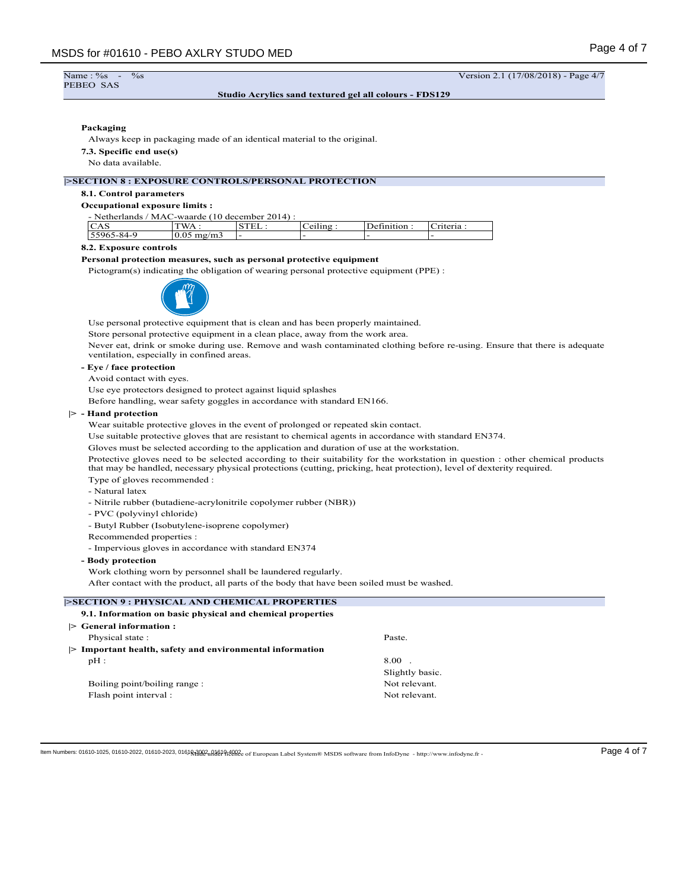Name: %<br>PEBEO SAS

 $\frac{\%}{\%}$  -  $\frac{\%}{\%}$  -  $\frac{1}{17/08/2018}$  - Page 4/7

## **Studio Acrylics sand textured gel all colours - FDS129**

## **Packaging**

Always keep in packaging made of an identical material to the original.

**7.3. Specific end use(s)**

## No data available.

## **|>SECTION 8 : EXPOSURE CONTROLS/PERSONAL PROTECTION**

## **8.1. Control parameters**

#### **Occupational exposure limits :**

| - Netherlands / MAC-waarde (10 december 2014) : |                      |       |          |             |           |
|-------------------------------------------------|----------------------|-------|----------|-------------|-----------|
| CAS                                             | $TWA$ :              | STEL: | Ceiling: | Definition: | Criteria: |
| 55965-84-9                                      | $10.05 \text{ mg/m}$ |       |          |             |           |

#### **8.2. Exposure controls**

## **Personal protection measures, such as personal protective equipment**

Pictogram(s) indicating the obligation of wearing personal protective equipment (PPE) :



Use personal protective equipment that is clean and has been properly maintained.

Store personal protective equipment in a clean place, away from the work area.

Never eat, drink or smoke during use. Remove and wash contaminated clothing before re-using. Ensure that there is adequate ventilation, especially in confined areas.

## **- Eye / face protection**

Avoid contact with eyes.

Use eye protectors designed to protect against liquid splashes

Before handling, wear safety goggles in accordance with standard EN166.

## **|> - Hand protection**

Wear suitable protective gloves in the event of prolonged or repeated skin contact.

Use suitable protective gloves that are resistant to chemical agents in accordance with standard EN374.

Gloves must be selected according to the application and duration of use at the workstation.

Protective gloves need to be selected according to their suitability for the workstation in question : other chemical products that may be handled, necessary physical protections (cutting, pricking, heat protection), level of dexterity required. Type of gloves recommended :

- Natural latex
- Nitrile rubber (butadiene-acrylonitrile copolymer rubber (NBR))
- PVC (polyvinyl chloride)
- Butyl Rubber (Isobutylene-isoprene copolymer)
- Recommended properties :

- Impervious gloves in accordance with standard EN374

## **- Body protection**

Work clothing worn by personnel shall be laundered regularly.

After contact with the product, all parts of the body that have been soiled must be washed.

| <b>ESECTION 9: PHYSICAL AND CHEMICAL PROPERTIES</b>                     |                 |
|-------------------------------------------------------------------------|-----------------|
| 9.1. Information on basic physical and chemical properties              |                 |
| $\triangleright$ General information :                                  |                 |
| Physical state:                                                         | Paste.          |
| $\triangleright$ Important health, safety and environmental information |                 |
| $pH$ :                                                                  | $8.00$ .        |
|                                                                         | Slightly basic. |
| Boiling point/boiling range:                                            | Not relevant.   |
| Flash point interval :                                                  | Not relevant.   |
|                                                                         |                 |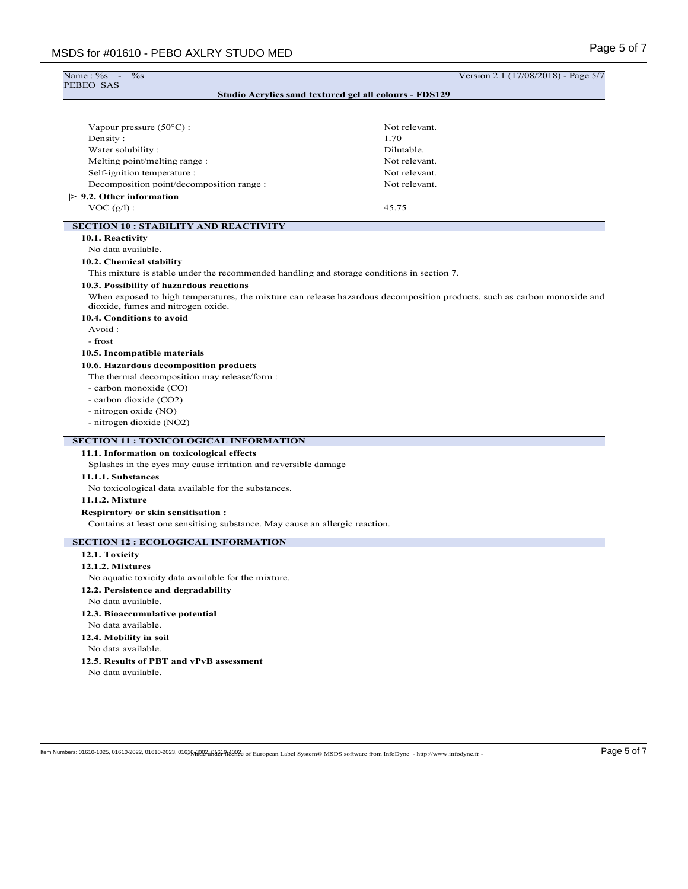| Name : %s<br>$\%$ s                                                                        | Version 2.1 (17/08/2018) - Page 5/7                                                                                      |
|--------------------------------------------------------------------------------------------|--------------------------------------------------------------------------------------------------------------------------|
| PEBEO SAS                                                                                  | Studio Acrylics sand textured gel all colours - FDS129                                                                   |
|                                                                                            |                                                                                                                          |
| Vapour pressure $(50^{\circ}$ C) :                                                         | Not relevant.                                                                                                            |
| Density:                                                                                   | 1.70                                                                                                                     |
| Water solubility:                                                                          | Dilutable.                                                                                                               |
| Melting point/melting range :                                                              | Not relevant.                                                                                                            |
| Self-ignition temperature :                                                                | Not relevant.                                                                                                            |
| Decomposition point/decomposition range :                                                  | Not relevant.                                                                                                            |
| $> 9.2$ . Other information                                                                |                                                                                                                          |
| $VOC(g/l)$ :                                                                               | 45.75                                                                                                                    |
| <b>SECTION 10 : STABILITY AND REACTIVITY</b>                                               |                                                                                                                          |
| 10.1. Reactivity                                                                           |                                                                                                                          |
| No data available.                                                                         |                                                                                                                          |
| 10.2. Chemical stability                                                                   |                                                                                                                          |
| This mixture is stable under the recommended handling and storage conditions in section 7. |                                                                                                                          |
| 10.3. Possibility of hazardous reactions                                                   |                                                                                                                          |
| dioxide, fumes and nitrogen oxide.                                                         | When exposed to high temperatures, the mixture can release hazardous decomposition products, such as carbon monoxide and |
| 10.4. Conditions to avoid                                                                  |                                                                                                                          |
| Avoid:                                                                                     |                                                                                                                          |
| - frost                                                                                    |                                                                                                                          |
| 10.5. Incompatible materials                                                               |                                                                                                                          |
| 10.6. Hazardous decomposition products                                                     |                                                                                                                          |
| The thermal decomposition may release/form :                                               |                                                                                                                          |
| - carbon monoxide (CO)                                                                     |                                                                                                                          |
| - carbon dioxide (CO2)                                                                     |                                                                                                                          |
| - nitrogen oxide (NO)                                                                      |                                                                                                                          |
| - nitrogen dioxide (NO2)                                                                   |                                                                                                                          |
| <b>SECTION 11 : TOXICOLOGICAL INFORMATION</b>                                              |                                                                                                                          |
| 11.1. Information on toxicological effects                                                 |                                                                                                                          |
| Splashes in the eyes may cause irritation and reversible damage                            |                                                                                                                          |
| 11.1.1. Substances                                                                         |                                                                                                                          |
| No toxicological data available for the substances.                                        |                                                                                                                          |
| <b>11.1.2. Mixture</b>                                                                     |                                                                                                                          |
| Respiratory or skin sensitisation:                                                         |                                                                                                                          |
| Contains at least one sensitising substance. May cause an allergic reaction.               |                                                                                                                          |
| <b>SECTION 12 : ECOLOGICAL INFORMATION</b>                                                 |                                                                                                                          |
| 12.1. Toxicity                                                                             |                                                                                                                          |
| 12.1.2. Mixtures                                                                           |                                                                                                                          |
| No aquatic toxicity data available for the mixture.                                        |                                                                                                                          |
| 12.2. Persistence and degradability                                                        |                                                                                                                          |
| No data available.                                                                         |                                                                                                                          |
| 12.3. Bioaccumulative potential                                                            |                                                                                                                          |
| No data available.                                                                         |                                                                                                                          |
| 12.4. Mobility in soil                                                                     |                                                                                                                          |
| No data available.                                                                         |                                                                                                                          |
| 12.5. Results of PBT and vPvB assessment                                                   |                                                                                                                          |
| No data available.                                                                         |                                                                                                                          |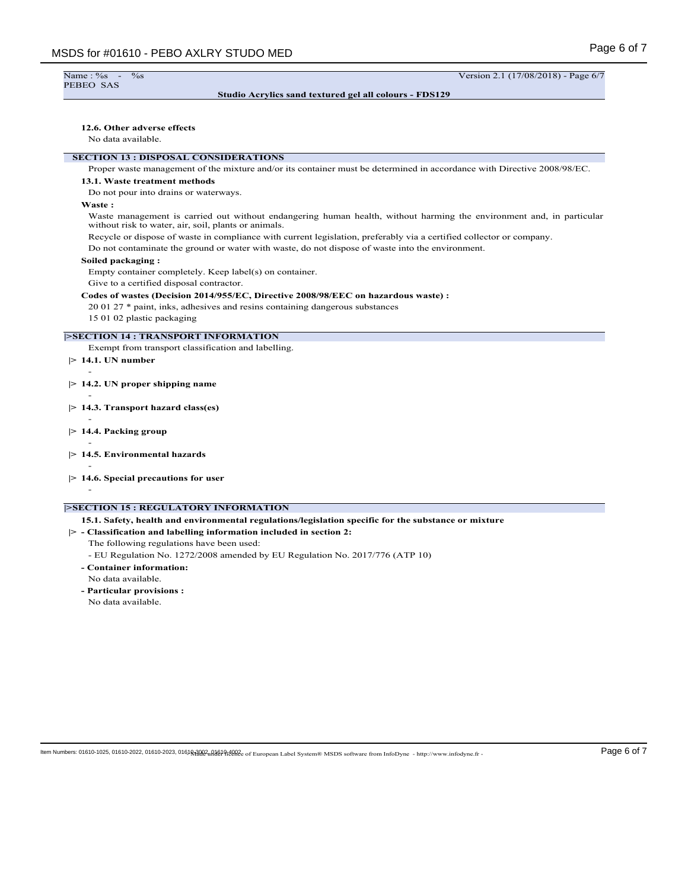Name : %s<br>PEBEO SAS

 $\frac{\%}{\%}$  -  $\frac{\%}{\%}$  -  $\frac{1}{17/08/2018}$  - Page 6/7

## **Studio Acrylics sand textured gel all colours - FDS129**

#### **12.6. Other adverse effects**

No data available.

## **SECTION 13 : DISPOSAL CONSIDERATIONS**

Proper waste management of the mixture and/or its container must be determined in accordance with Directive 2008/98/EC.

## **13.1. Waste treatment methods**

Do not pour into drains or waterways.

## **Waste :**

Waste management is carried out without endangering human health, without harming the environment and, in particular without risk to water, air, soil, plants or animals.

Recycle or dispose of waste in compliance with current legislation, preferably via a certified collector or company.

Do not contaminate the ground or water with waste, do not dispose of waste into the environment.

#### **Soiled packaging :**

Empty container completely. Keep label(s) on container.

Give to a certified disposal contractor.

## **Codes of wastes (Decision 2014/955/EC, Directive 2008/98/EEC on hazardous waste) :**

20 01 27 \* paint, inks, adhesives and resins containing dangerous substances

15 01 02 plastic packaging

# **|>SECTION 14 : TRANSPORT INFORMATION**

Exempt from transport classification and labelling.

**|> 14.1. UN number**

-

-

-

-

-

- **|> 14.2. UN proper shipping name**
- **|> 14.3. Transport hazard class(es)**
- **|> 14.4. Packing group**
- **|> 14.5. Environmental hazards**
- **|> 14.6. Special precautions for user**
- -

## **|>SECTION 15 : REGULATORY INFORMATION**

**15.1. Safety, health and environmental regulations/legislation specific for the substance or mixture**

**|> - Classification and labelling information included in section 2:** The following regulations have been used:

- EU Regulation No. 1272/2008 amended by EU Regulation No. 2017/776 (ATP 10)
- **Container information:**
- No data available.
- **Particular provisions :** No data available.